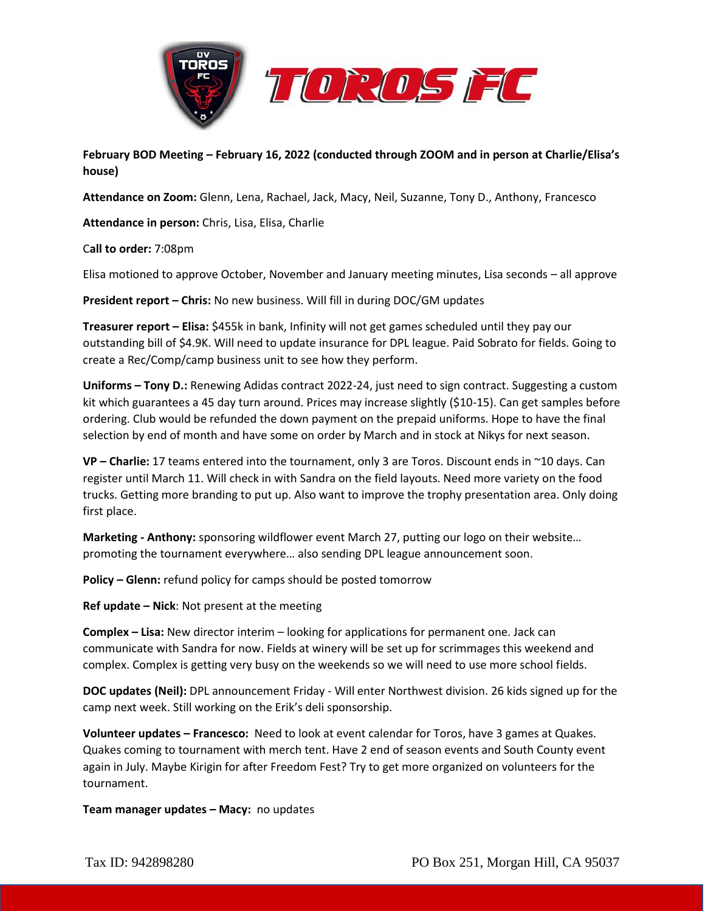



**February BOD Meeting – February 16, 2022 (conducted through ZOOM and in person at Charlie/Elisa's house)**

**Attendance on Zoom:** Glenn, Lena, Rachael, Jack, Macy, Neil, Suzanne, Tony D., Anthony, Francesco

**Attendance in person:** Chris, Lisa, Elisa, Charlie

C**all to order:** 7:08pm

Elisa motioned to approve October, November and January meeting minutes, Lisa seconds – all approve

**President report – Chris:** No new business. Will fill in during DOC/GM updates

**Treasurer report – Elisa:** \$455k in bank, Infinity will not get games scheduled until they pay our outstanding bill of \$4.9K. Will need to update insurance for DPL league. Paid Sobrato for fields. Going to create a Rec/Comp/camp business unit to see how they perform.

**Uniforms – Tony D.:** Renewing Adidas contract 2022-24, just need to sign contract. Suggesting a custom kit which guarantees a 45 day turn around. Prices may increase slightly (\$10-15). Can get samples before ordering. Club would be refunded the down payment on the prepaid uniforms. Hope to have the final selection by end of month and have some on order by March and in stock at Nikys for next season.

**VP – Charlie:** 17 teams entered into the tournament, only 3 are Toros. Discount ends in ~10 days. Can register until March 11. Will check in with Sandra on the field layouts. Need more variety on the food trucks. Getting more branding to put up. Also want to improve the trophy presentation area. Only doing first place.

**Marketing - Anthony:** sponsoring wildflower event March 27, putting our logo on their website… promoting the tournament everywhere… also sending DPL league announcement soon.

**Policy – Glenn:** refund policy for camps should be posted tomorrow

**Ref update – Nick**: Not present at the meeting

**Complex – Lisa:** New director interim – looking for applications for permanent one. Jack can communicate with Sandra for now. Fields at winery will be set up for scrimmages this weekend and complex. Complex is getting very busy on the weekends so we will need to use more school fields.

**DOC updates (Neil):** DPL announcement Friday - Will enter Northwest division. 26 kids signed up for the camp next week. Still working on the Erik's deli sponsorship.

**Volunteer updates – Francesco:** Need to look at event calendar for Toros, have 3 games at Quakes. Quakes coming to tournament with merch tent. Have 2 end of season events and South County event again in July. Maybe Kirigin for after Freedom Fest? Try to get more organized on volunteers for the tournament.

**Team manager updates – Macy:** no updates